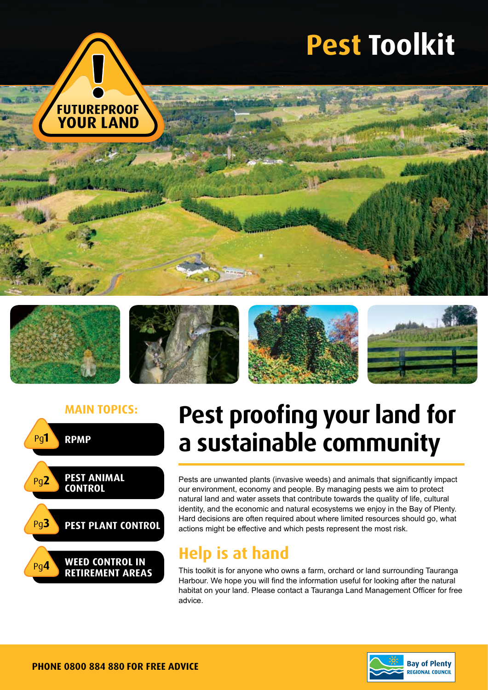





### **Main topics: Pest proofing your land for a sustainable community**

Pests are unwanted plants (invasive weeds) and animals that significantly impact our environment, economy and people. By managing pests we aim to protect natural land and water assets that contribute towards the quality of life, cultural identity, and the economic and natural ecosystems we enjoy in the Bay of Plenty. Hard decisions are often required about where limited resources should go, what actions might be effective and which pests represent the most risk.

### **Help is at hand**

This toolkit is for anyone who owns a farm, orchard or land surrounding Tauranga Harbour. We hope you will find the information useful for looking after the natural habitat on your land. Please contact a Tauranga Land Management Officer for free advice.

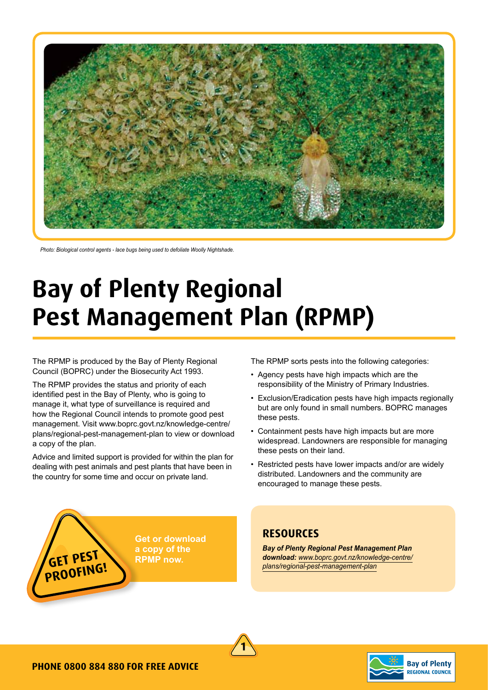

*Photo: Biological control agents - lace bugs being used to defoliate Woolly Nightshade.*

### **Bay of Plenty Regional Pest Management Plan (RPMP)**

The RPMP is produced by the Bay of Plenty Regional Council (BOPRC) under the Biosecurity Act 1993.

The RPMP provides the status and priority of each identified pest in the Bay of Plenty, who is going to manage it, what type of surveillance is required and how the Regional Council intends to promote good pest management. Visit www.boprc.govt.nz/knowledge-centre/ plans/regional-pest-management-plan to view or download a copy of the plan.

Advice and limited support is provided for within the plan for dealing with pest animals and pest plants that have been in the country for some time and occur on private land.

The RPMP sorts pests into the following categories:

- Agency pests have high impacts which are the responsibility of the Ministry of Primary Industries.
- Exclusion/Eradication pests have high impacts regionally but are only found in small numbers. BOPRC manages these pests.
- Containment pests have high impacts but are more widespread. Landowners are responsible for managing these pests on their land.
- Restricted pests have lower impacts and/or are widely distributed. Landowners and the community are encouraged to manage these pests.

**Get or download a copy of the RPMP now.**

### **Resources**

*Bay of Plenty Regional Pest Management Plan*  **GET PEST**<br> **GET PEST**<br> **PRING!**<br> **PRING!**<br> **PRING!**<br> **PRING!**<br> **PRING!**<br> **PRING!** 





**proofing!**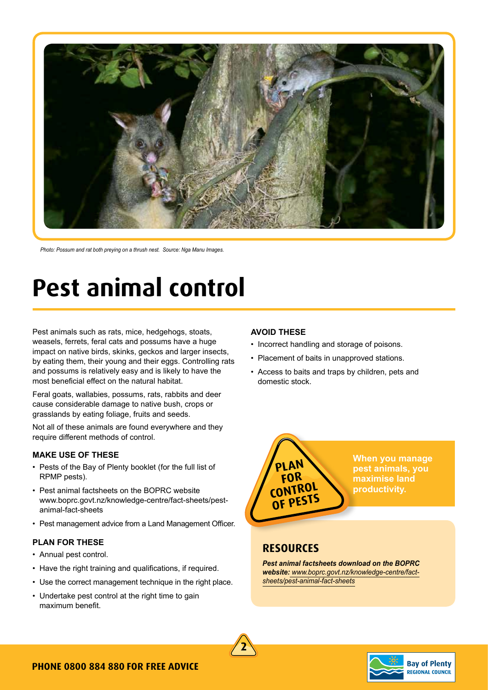

*Photo: Possum and rat both preying on a thrush nest. Source: Nga Manu Images.*

### **Pest animal control**

Pest animals such as rats, mice, hedgehogs, stoats, weasels, ferrets, feral cats and possums have a huge impact on native birds, skinks, geckos and larger insects, by eating them, their young and their eggs. Controlling rats and possums is relatively easy and is likely to have the most beneficial effect on the natural habitat.

Feral goats, wallabies, possums, rats, rabbits and deer cause considerable damage to native bush, crops or grasslands by eating foliage, fruits and seeds.

Not all of these animals are found everywhere and they require different methods of control.

### **MAKE USE OF THESE**

- Pests of the Bay of Plenty booklet (for the full list of RPMP pests).
- Pest animal factsheets on the BOPRC website www.boprc.govt.nz/knowledge-centre/fact-sheets/pestanimal-fact-sheets
- Pest management advice from a Land Management Officer.

#### **PLAN FOR THESE**

- Annual pest control.
- Have the right training and qualifications, if required.
- Use the correct management technique in the right place.
- Undertake pest control at the right time to gain maximum benefit.

### **AVOID THESE**

- Incorrect handling and storage of poisons.
- Placement of baits in unapproved stations.
- Access to baits and traps by children, pets and domestic stock.



**When you manage pest animals, you maximise land productivity.**

### **Resources**

*Pest animal factsheets download on the BOPRC website: www.boprc.govt.nz/knowledge-centre/factsheets/pest-animal-fact-sheets*



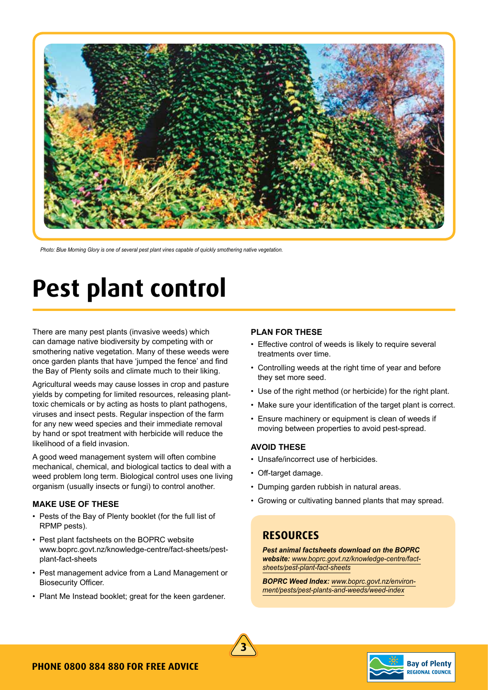

*Photo: Blue Morning Glory is one of several pest plant vines capable of quickly smothering native vegetation.* 

## **Pest plant control**

There are many pest plants (invasive weeds) which can damage native biodiversity by competing with or smothering native vegetation. Many of these weeds were once garden plants that have 'jumped the fence' and find the Bay of Plenty soils and climate much to their liking.

Agricultural weeds may cause losses in crop and pasture yields by competing for limited resources, releasing planttoxic chemicals or by acting as hosts to plant pathogens, viruses and insect pests. Regular inspection of the farm for any new weed species and their immediate removal by hand or spot treatment with herbicide will reduce the likelihood of a field invasion.

A good weed management system will often combine mechanical, chemical, and biological tactics to deal with a weed problem long term. Biological control uses one living organism (usually insects or fungi) to control another.

#### **MAKE USE OF THESE**

- Pests of the Bay of Plenty booklet (for the full list of RPMP pests).
- Pest plant factsheets on the BOPRC website www.boprc.govt.nz/knowledge-centre/fact-sheets/pestplant-fact-sheets
- Pest management advice from a Land Management or Biosecurity Officer.
- Plant Me Instead booklet; great for the keen gardener.

#### **PLAN FOR THESE**

- Effective control of weeds is likely to require several treatments over time.
- Controlling weeds at the right time of year and before they set more seed.
- Use of the right method (or herbicide) for the right plant.
- Make sure your identification of the target plant is correct.
- Ensure machinery or equipment is clean of weeds if moving between properties to avoid pest-spread.

### **AVOID THESE**

- Unsafe/incorrect use of herbicides.
- Off-target damage.
- Dumping garden rubbish in natural areas.
- Growing or cultivating banned plants that may spread.

### **Resources**

*Pest animal factsheets download on the BOPRC website: www.boprc.govt.nz/knowledge-centre/factsheets/pest-plant-fact-sheets*

*BOPRC Weed Index: www.boprc.govt.nz/environment/pests/pest-plants-and-weeds/weed-index*



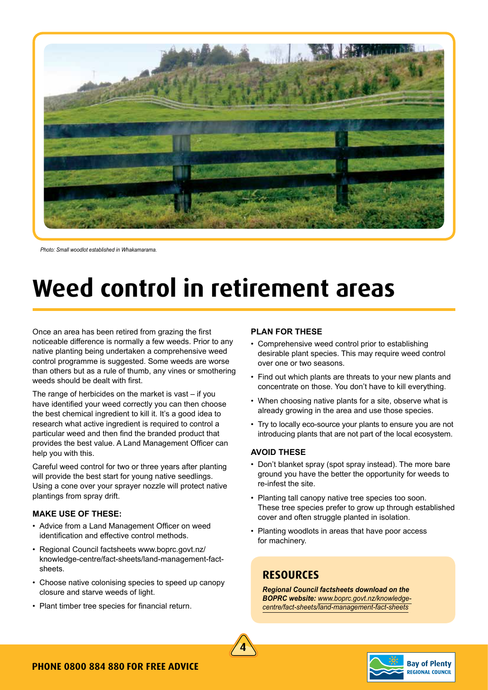

*Photo: Small woodlot established in Whakamarama.* 

# **Weed control in retirement areas**

Once an area has been retired from grazing the first noticeable difference is normally a few weeds. Prior to any native planting being undertaken a comprehensive weed control programme is suggested. Some weeds are worse than others but as a rule of thumb, any vines or smothering weeds should be dealt with first.

The range of herbicides on the market is vast – if you have identified your weed correctly you can then choose the best chemical ingredient to kill it. It's a good idea to research what active ingredient is required to control a particular weed and then find the branded product that provides the best value. A Land Management Officer can help you with this.

Careful weed control for two or three years after planting will provide the best start for young native seedlings. Using a cone over your sprayer nozzle will protect native plantings from spray drift.

### **MAKE USE OF THESE:**

- Advice from a Land Management Officer on weed identification and effective control methods.
- Regional Council factsheets www.boprc.govt.nz/ knowledge-centre/fact-sheets/land-management-factsheets.
- Choose native colonising species to speed up canopy closure and starve weeds of light.
- Plant timber tree species for financial return.

#### **PLAN FOR THESE**

- Comprehensive weed control prior to establishing desirable plant species. This may require weed control over one or two seasons.
- Find out which plants are threats to your new plants and concentrate on those. You don't have to kill everything.
- When choosing native plants for a site, observe what is already growing in the area and use those species.
- Try to locally eco-source your plants to ensure you are not introducing plants that are not part of the local ecosystem.

### **AVOID THESE**

- Don't blanket spray (spot spray instead). The more bare ground you have the better the opportunity for weeds to re-infest the site.
- Planting tall canopy native tree species too soon. These tree species prefer to grow up through established cover and often struggle planted in isolation.
- Planting woodlots in areas that have poor access for machinery.

### **Resources**

*Regional Council factsheets download on the BOPRC website: www.boprc.govt.nz/knowledgecentre/fact-sheets/land-management-fact-sheets*